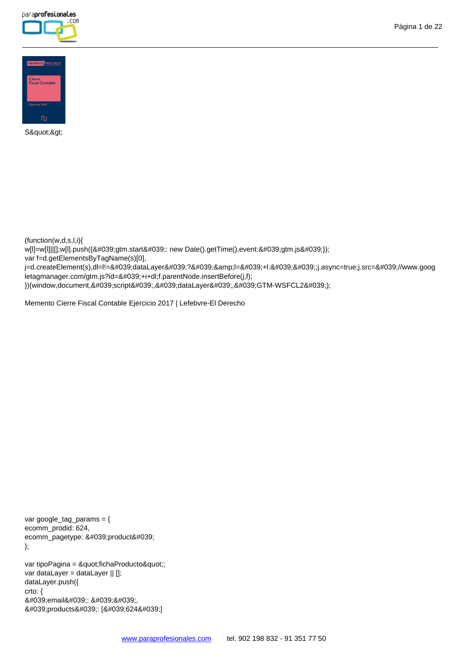



S">

(function(w,d,s,l,i){

w[I]=w[1]||[];w[I].push({'gtm.start'; new Date().getTime(),event:'gtm.js'});

var f=d.getElementsByTagName(s)[0],

j=d.createElement(s),dl=l!='dataLayer'?'&l='+l:'';j.async=true;j.src='//www.goog letagmanager.com/gtm.js?id='+i+dl;f.parentNode.insertBefore(j,f);

})(window,document,'script','dataLayer','GTM-WSFCL2');

Memento Cierre Fiscal Contable Ejercicio 2017 | Lefebvre-El Derecho

var google\_tag\_params = { ecomm\_prodid: 624, ecomm\_pagetype: 'product' };

var tipoPagina = "fichaProducto"; var dataLayer = dataLayer || []; dataLayer.push({ crto: { 'email': '', 'products': ['624']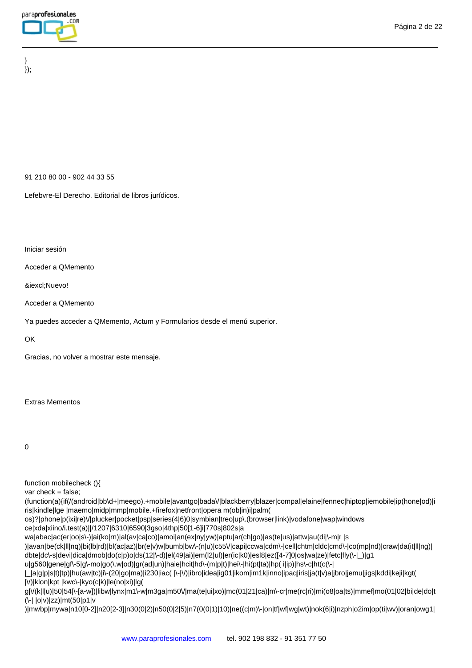} });

91 210 80 00 - 902 44 33 55

Lefebvre-El Derecho. Editorial de libros jurídicos.

Iniciar sesión

Acceder a QMemento

¡Nuevo!

Acceder a QMemento

Ya puedes acceder a QMemento, Actum y Formularios desde el menú superior.

OK

Gracias, no volver a mostrar este mensaje.

## Extras Mementos

0

function mobilecheck (){

var check = false;

(function(a){if(/(android|bb\d+|meego).+mobile|avantgo|bada\/|blackberry|blazer|compal|elaine|fennec|hiptop|iemobile|ip(hone|od)|i ris|kindle|lge |maemo|midp|mmp|mobile.+firefox|netfront|opera m(ob|in)i|palm(

os)?|phone|p(ixi|re)\/|plucker|pocket|psp|series(4|6)0|symbian|treo|up\.(browser|link)|vodafone|wap|windows

ce|xda|xiino/i.test(a)||/1207|6310|6590|3gso|4thp|50[1-6]i|770s|802s|a

wa|abac|ac(er|oo|s\-)|ai(ko|rn)|al(av|ca|co)|amoi|an(ex|ny|yw)|aptu|ar(ch|go)|as(te|us)|attw|au(di|\-m|r |s

)|avan|be(ck|ll|nq)|bi(lb|rd)|bl(ac|az)|br(e|v)w|bumb|bw\-(n|u)|c55\/|capi|ccwa|cdm\-|cell|chtm|cldc|cmd\-|co(mp|nd)|craw|da(it|ll|ng)| dbte|dc\-s|devi|dica|dmob|do(c|p)o|ds(12|\-d)|el(49|ai)|em(l2|ul)|er(ic|k0)|esl8|ez([4-7]0|os|wa|ze)|fetc|fly(\-|\_)|g1

u|g560|gene|gf\-5|g\-mo|go(\.w|od)|gr(ad|un)|haie|hcit|hd\-(m|p|t)|hei\-|hi(pt|ta)|hp( i|ip)|hs\-c|ht(c(\-|

|\_|a|g|p|s|t)|tp)|hu(aw|tc)|i\-(20|go|ma)|i230|iac( |\-|\/)|ibro|idea|ig01|ikom|im1k|inno|ipaq|iris|ja(t|v)a|jbro|jemu|jigs|kddi|keji|kgt( |\/)|klon|kpt |kwc\-|kyo(c|k)|le(no|xi)|lg(

g|\/(k|l|u)|50|54|\-[a-w])|libw|lynx|m1\-w|m3ga|m50\/|ma(te|ui|xo)|mc(01|21|ca)|m\-cr|me(rc|ri)|mi(o8|oa|ts)|mmef|mo(01|02|bi|de|do|t (\-| |o|v)|zz)|mt(50|p1|v

)|mwbp|mywa|n10[0-2]|n20[2-3]|n30(0|2)|n50(0|2|5)|n7(0(0|1)|10)|ne((c|m)\-|on|tf|wf|wg|wt)|nok(6|i)|nzph|o2im|op(ti|wv)|oran|owg1|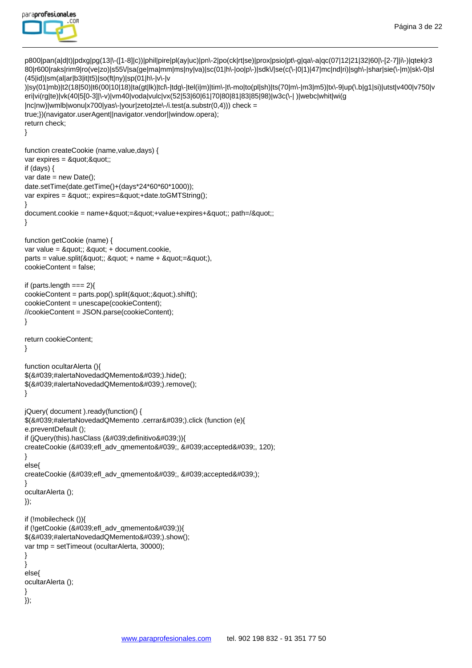

p800|pan(a|d|t)|pdxg|pg(13|\-([1-8]|c))|phil|pire|pl(ay|uc)|pn\-2|po(ck|rt|se)|prox|psio|pt\-g|qa\-a|qc(07|12|21|32|60|\-[2-7]|i\-)|qtek|r3 80|r600|raks|rim9|ro(ve|zo)|s55\/|sa(ge|ma|mm|ms|ny|va)|sc(01|h\-|oo|p\-)|sdk\/|se(c(\-|0|1)|47|mc|nd|ri)|sgh\-|shar|sie(\-|m)|sk\-0|sl (45|id)|sm(al|ar|b3|it|t5)|so(ft|ny)|sp(01|h\-|v\-|v )|sy(01|mb)|t2(18|50)|t6(00|10|18)|ta(gt|lk)|tcl\-|tdg\-|tel(i|m)|tim\-|t\-mo|to(pl|sh)|ts(70|m\-|m3|m5)|tx\-9|up(\.b|g1|si)|utst|v400|v750|v eri|vi(rg|te)|vk(40|5[0-3]|\-v)|vm40|voda|vulc|vx(52|53|60|61|70|80|81|83|85|98)|w3c(\-| )|webc|whit|wi(g |nc|nw)|wmlb|wonu|x700|yas\-|your|zeto|zte\-/i.test(a.substr(0,4))) check = true;})(navigator.userAgent||navigator.vendor||window.opera); return check; } function createCookie (name,value,days) { var expires  $=$  " "; if (days) { var date =  $new$  Date(); date.setTime(date.getTime()+(days\*24\*60\*60\*1000)); var expires = "; expires="+date.toGMTString(); }  $document.cookie = name+":=" +value+expires+"$  path=/\; } function getCookie (name) { var value =  $&$ auot::  $&$ auot: + document.cookie.  $parts = value.split($  & quot:: & quot: + name + & quot: = & quot: ), cookieContent = false; if (parts.length  $==$  2){  $\text{cookieContent} = \text{parts.pop}().\text{split}(\&\text{quot};\&\&\text{quot};).$ cookieContent = unescape(cookieContent); //cookieContent = JSON.parse(cookieContent); } return cookieContent; } function ocultarAlerta (){ \$('#alertaNovedadQMemento').hide();  $$(8#039;#alertaNovedadQMemento').remove();$ } jQuery( document ).ready(function() { \$('#alertaNovedadQMemento .cerrar').click (function (e){ e.preventDefault (); if (jQuery(this).hasClass ('definitivo')){ createCookie ('efl\_adv\_qmemento', 'accepted', 120); } else{ createCookie (&#039:efl\_adv\_gmemento&#039:, &#039:accepted&#039:); } ocultarAlerta (); }); if (!mobilecheck ()){ if (!getCookie ('efl\_adv\_qmemento')){  $$(8#039: #alertaNovedadQMemento').show()$ var tmp = setTimeout (ocultarAlerta, 30000); } } else{ ocultarAlerta (); } });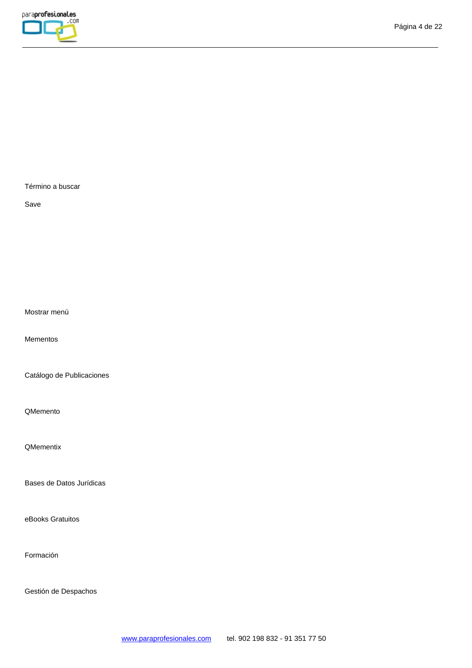

Término a buscar

Save

Mostrar menú

Mementos

Catálogo de Publicaciones

QMemento

**QMementix** 

Bases de Datos Jurídicas

eBooks Gratuitos

Formación

Gestión de Despachos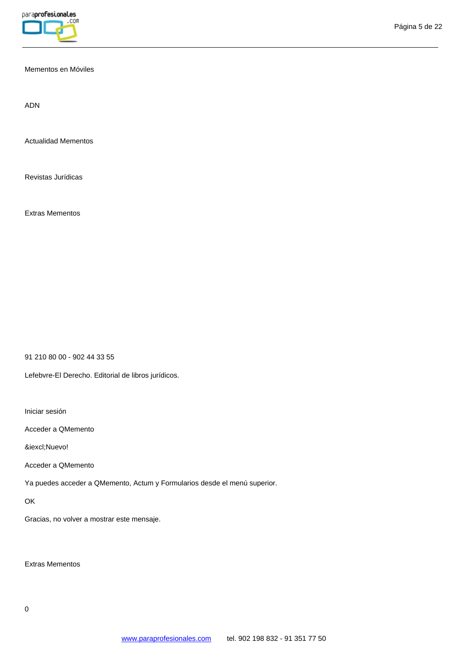

## Mementos en Móviles

ADN

Actualidad Mementos

Revistas Jurídicas

Extras Mementos

91 210 80 00 - 902 44 33 55

Lefebvre-El Derecho. Editorial de libros jurídicos.

Iniciar sesión

Acceder a QMemento

¡Nuevo!

Acceder a QMemento

Ya puedes acceder a QMemento, Actum y Formularios desde el menú superior.

**OK** 

Gracias, no volver a mostrar este mensaje.

Extras Mementos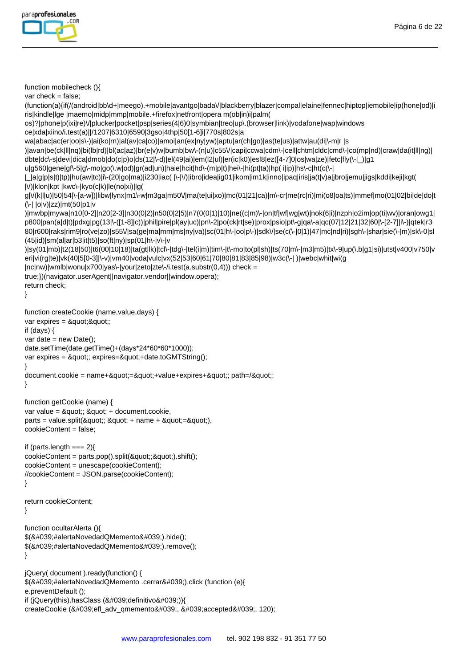

```
function mobilecheck (){
```
var check = false;

```
(function(a){if(/(android|bb\d+|meego).+mobile|avantgo|bada\/|blackberry|blazer|compal|elaine|fennec|hiptop|iemobile|ip(hone|od)|i
ris|kindle|lge |maemo|midp|mmp|mobile.+firefox|netfront|opera m(ob|in)i|palm(
```
os)?|phone|p(ixi|re)\/|plucker|pocket|psp|series(4|6)0|symbian|treo|up\.(browser|link)|vodafone|wap|windows

ce|xda|xiino/i.test(a)||/1207|6310|6590|3gso|4thp|50[1-6]i|770s|802s|a

wa|abac|ac(er|oo|s\-)|ai(ko|rn)|al(av|ca|co)|amoi|an(ex|ny|yw)|aptu|ar(ch|go)|as(te|us)|attw|au(di|\-m|r |s

)|avan|be(ck|ll|nq)|bi(lb|rd)|bl(ac|az)|br(e|v)w|bumb|bw\-(n|u)|c55\/|capi|ccwa|cdm\-|cell|chtm|cldc|cmd\-|co(mp|nd)|craw|da(it|ll|ng)|

dbte|dc\-s|devi|dica|dmob|do(c|p)o|ds(12|\-d)|el(49|ai)|em(l2|ul)|er(ic|k0)|esl8|ez([4-7]0|os|wa|ze)|fetc|fly(\-|\_)|g1

u|g560|gene|gf\-5|g\-mo|go(\.w|od)|gr(ad|un)|haie|hcit|hd\-(m|p|t)|hei\-|hi(pt|ta)|hp( i|ip)|hs\-c|ht(c(\-|

|\_|a|g|p|s|t)|tp)|hu(aw|tc)|i\-(20|go|ma)|i230|iac( |\-|\/)|ibro|idea|ig01|ikom|im1k|inno|ipaq|iris|ja(t|v)a|jbro|jemu|jigs|kddi|keji|kgt( |\/)|klon|kpt |kwc\-|kyo(c|k)|le(no|xi)|lg(

g|\/(k|l|u)|50|54|\-[a-w])|libw|lynx|m1\-w|m3ga|m50\/|ma(te|ui|xo)|mc(01|21|ca)|m\-cr|me(rc|ri)|mi(o8|oa|ts)|mmef|mo(01|02|bi|de|do|t (\-| |o|v)|zz)|mt(50|p1|v

)|mwbp|mywa|n10[0-2]|n20[2-3]|n30(0|2)|n50(0|2|5)|n7(0(0|1)|10)|ne((c|m)\-|on|tf|wf|wg|wt)|nok(6|i)|nzph|o2im|op(ti|wv)|oran|owg1| p800|pan(a|d|t)|pdxg|pg(13|\-([1-8]|c))|phil|pire|pl(ay|uc)|pn\-2|po(ck|rt|se)|prox|psio|pt\-g|qa\-a|qc(07|12|21|32|60|\-[2-7]|i\-)|qtek|r3 80|r600|raks|rim9|ro(ve|zo)|s55\/|sa(ge|ma|mm|ms|ny|va)|sc(01|h\-|oo|p\-)|sdk\/|se(c(\-|0|1)|47|mc|nd|ri)|sgh\-|shar|sie(\-|m)|sk\-0|sl (45|id)|sm(al|ar|b3|it|t5)|so(ft|ny)|sp(01|h\-|v\-|v

)|sy(01|mb)|t2(18|50)|t6(00|10|18)|ta(gt|lk)|tcl\-|tdg\-|tel(i|m)|tim\-|t\-mo|to(pl|sh)|ts(70|m\-|m3|m5)|tx\-9|up(\.b|g1|si)|utst|v400|v750|v eri|vi(rg|te)|vk(40|5[0-3]|\-v)|vm40|voda|vulc|vx(52|53|60|61|70|80|81|83|85|98)|w3c(\-| )|webc|whit|wi(g

|nc|nw)|wmlb|wonu|x700|yas\-|your|zeto|zte\-/i.test(a.substr(0,4))) check =

true;})(navigator.userAgent||navigator.vendor||window.opera);

```
return check;
}
```
function createCookie (name,value,days) { var expires  $=$  " "; if (days) { var date  $=$  new Date(); date.setTime(date.getTime()+(days\*24\*60\*60\*1000)); var expires = "; expires="+date.toGMTString(); }

document.cookie = name+"="+value+expires+"; path=/";

```
}
```
function getCookie (name) { var value =  $&$ quot;;  $&$ quot; + document.cookie,  $parts = value.split($ "; " + name + "="), cookieContent = false;

if (parts.length  $==$  2){ cookieContent = parts.pop().split(";").shift(); cookieContent = unescape(cookieContent); //cookieContent = JSON.parse(cookieContent); }

```
return cookieContent;
```
}

```
function ocultarAlerta (){
$(8#039; #alertaNovedadQMemento').hide();$('#alertaNovedadQMemento').remove();
}
```
jQuery( document ).ready(function() { \$('#alertaNovedadQMemento .cerrar').click (function (e){ e.preventDefault (); if (jQuery(this).hasClass ('definitivo')){ createCookie ('efl\_adv\_qmemento', 'accepted', 120);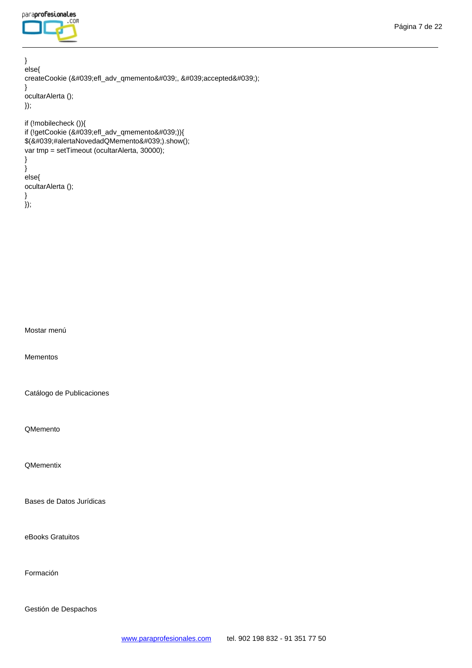} else{ createCookie ('efl\_adv\_qmemento', 'accepted'); } ocultarAlerta (); }); if (!mobilecheck ()){ if (!getCookie ('efl\_adv\_qmemento')){  $$(8#039; #alertaNovedadQMemento').show();$ var tmp = setTimeout (ocultarAlerta, 30000); } } else{

ocultarAlerta (); }

});

Mostar menú

Mementos

Catálogo de Publicaciones

QMemento

**QMementix** 

Bases de Datos Jurídicas

eBooks Gratuitos

Formación

Gestión de Despachos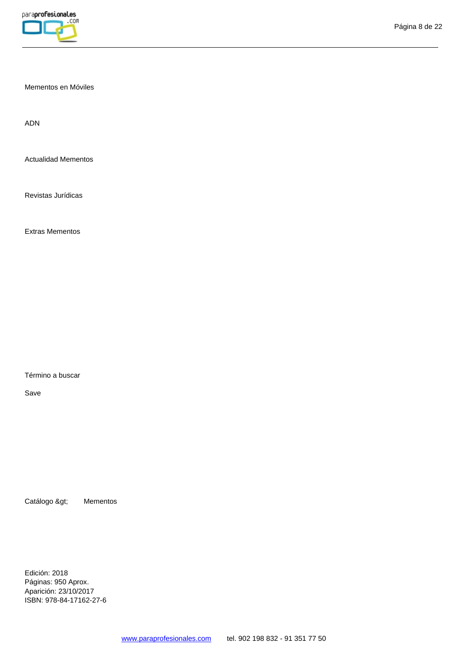

Mementos en Móviles

ADN

Actualidad Mementos

Revistas Jurídicas

Extras Mementos

Término a buscar

Save

Catálogo > Mementos

Edición: 2018 Páginas: 950 Aprox. Aparición: 23/10/2017 ISBN: 978-84-17162-27-6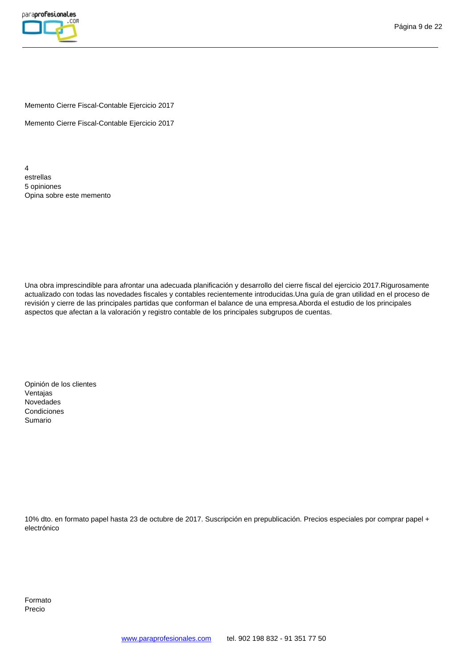

Memento Cierre Fiscal-Contable Ejercicio 2017

Memento Cierre Fiscal-Contable Ejercicio 2017

4 estrellas 5 opiniones Opina sobre este memento

Una obra imprescindible para afrontar una adecuada planificación y desarrollo del cierre fiscal del ejercicio 2017.Rigurosamente actualizado con todas las novedades fiscales y contables recientemente introducidas.Una guía de gran utilidad en el proceso de revisión y cierre de las principales partidas que conforman el balance de una empresa.Aborda el estudio de los principales aspectos que afectan a la valoración y registro contable de los principales subgrupos de cuentas.

Opinión de los clientes Ventajas Novedades Condiciones Sumario

10% dto. en formato papel hasta 23 de octubre de 2017. Suscripción en prepublicación. Precios especiales por comprar papel + electrónico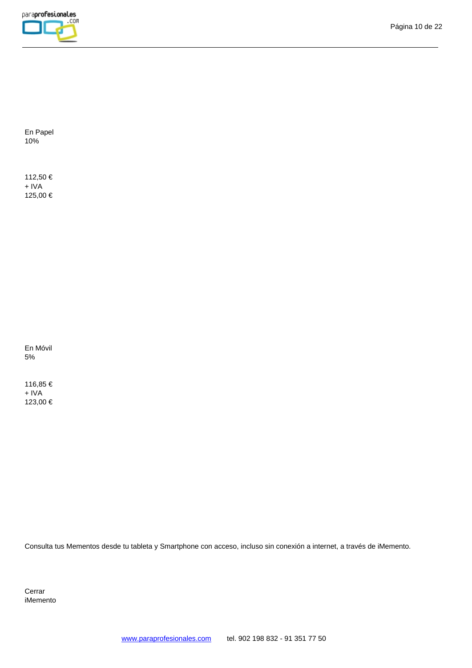

En Papel 10%

112,50 € + IVA 125,00 €

En Móvil 5%

116,85 € + IVA 123,00 €

Consulta tus Mementos desde tu tableta y Smartphone con acceso, incluso sin conexión a internet, a través de iMemento.

Cerrar iMemento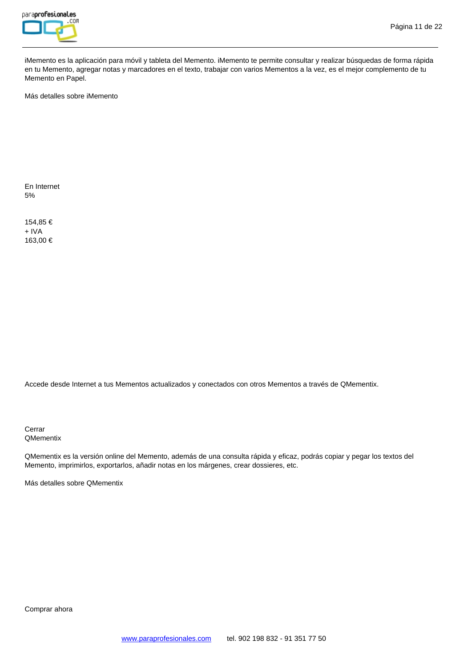

iMemento es la aplicación para móvil y tableta del Memento. iMemento te permite consultar y realizar búsquedas de forma rápida en tu Memento, agregar notas y marcadores en el texto, trabajar con varios Mementos a la vez, es el mejor complemento de tu Memento en Papel.

Más detalles sobre iMemento

En Internet 5%

154,85 € + IVA 163,00 €

Accede desde Internet a tus Mementos actualizados y conectados con otros Mementos a través de QMementix.

Cerrar **QMementix** 

QMementix es la versión online del Memento, además de una consulta rápida y eficaz, podrás copiar y pegar los textos del Memento, imprimirlos, exportarlos, añadir notas en los márgenes, crear dossieres, etc.

Más detalles sobre QMementix

Comprar ahora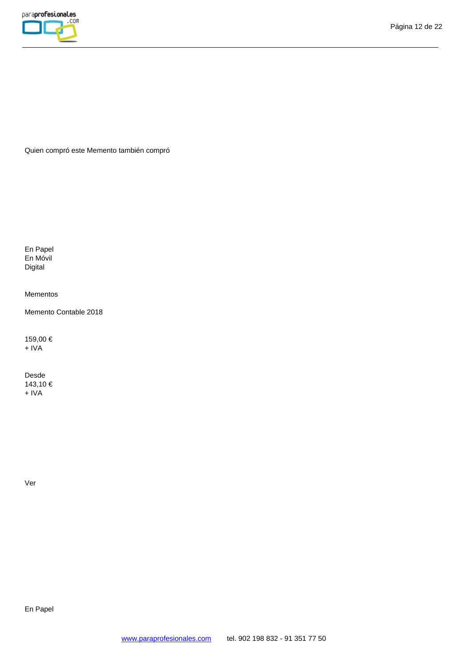Quien compró este Memento también compró

En Papel En Móvil Digital

Mementos

Memento Contable 2018

159,00 € + IVA

Desde 143,10 € + IVA

Ver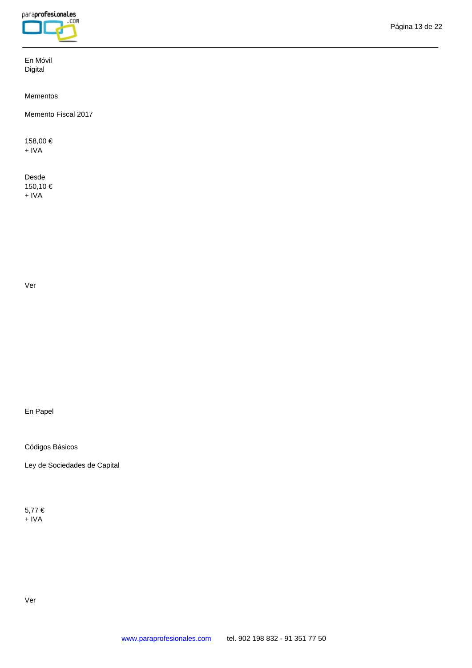En Móvil Digital

Mementos

Memento Fiscal 2017

158,00 € + IVA

Desde 150,10 € + IVA

Ver

# En Papel

Códigos Básicos

Ley de Sociedades de Capital

5,77 € + IVA

Ver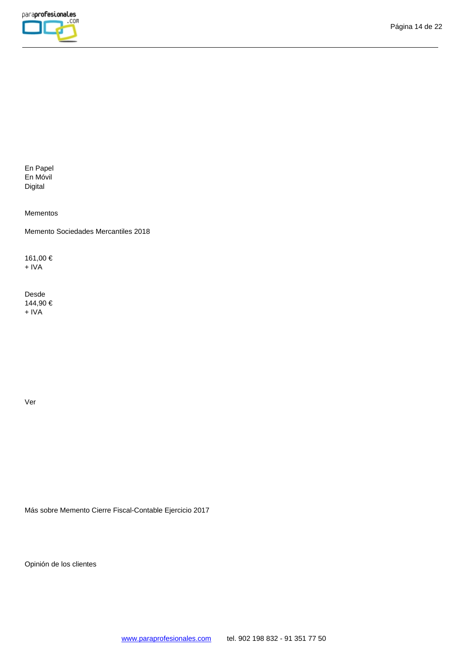

En Papel En Móvil Digital

Mementos

Memento Sociedades Mercantiles 2018

161,00 € + IVA

Desde 144,90 € + IVA

Ver

Más sobre Memento Cierre Fiscal-Contable Ejercicio 2017

Opinión de los clientes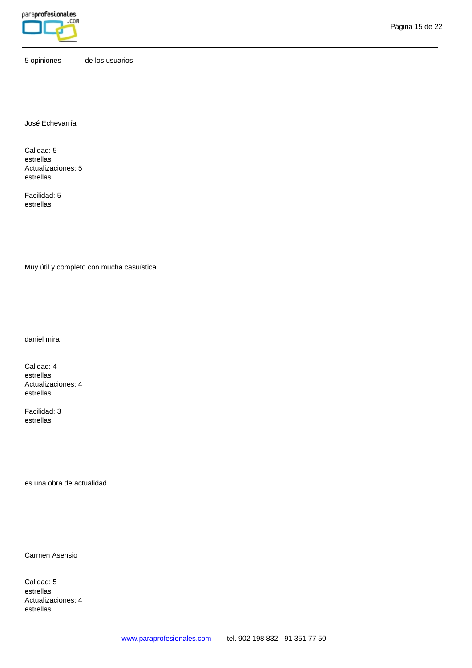

5 opiniones de los usuarios

José Echevarría

Calidad: 5 estrellas Actualizaciones: 5 estrellas

Facilidad: 5 estrellas

Muy útil y completo con mucha casuística

daniel mira

Calidad: 4 estrellas Actualizaciones: 4 estrellas

Facilidad: 3 estrellas

es una obra de actualidad

Carmen Asensio

Calidad: 5 estrellas Actualizaciones: 4 estrellas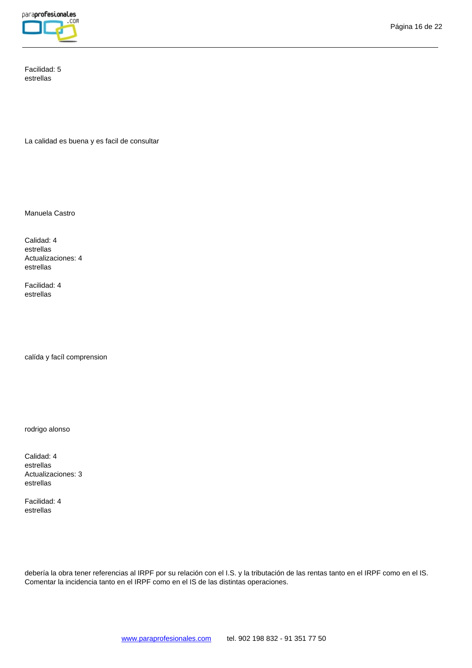

Facilidad: 5 estrellas

La calidad es buena y es facil de consultar

Manuela Castro

Calidad: 4 estrellas Actualizaciones: 4 estrellas

Facilidad: 4 estrellas

calída y facíl comprension

rodrigo alonso

Calidad: 4 estrellas Actualizaciones: 3 estrellas

Facilidad: 4 estrellas

debería la obra tener referencias al IRPF por su relación con el I.S. y la tributación de las rentas tanto en el IRPF como en el IS. Comentar la incidencia tanto en el IRPF como en el IS de las distintas operaciones.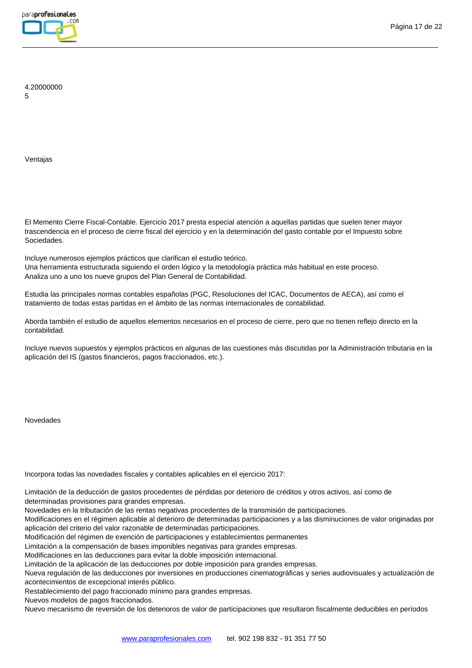

4.20000000 5

Ventajas

El Memento Cierre Fiscal-Contable. Ejercicio 2017 presta especial atención a aquellas partidas que suelen tener mayor trascendencia en el proceso de cierre fiscal del ejercicio y en la determinación del gasto contable por el Impuesto sobre Sociedades.

Incluye numerosos ejemplos prácticos que clarifican el estudio teórico. Una herramienta estructurada siguiendo el orden lógico y la metodología práctica más habitual en este proceso. Analiza uno a uno los nueve grupos del Plan General de Contabilidad.

Estudia las principales normas contables españolas (PGC, Resoluciones del ICAC, Documentos de AECA), así como el tratamiento de todas estas partidas en el ámbito de las normas internacionales de contabilidad.

Aborda también el estudio de aquellos elementos necesarios en el proceso de cierre, pero que no tienen reflejo directo en la contabilidad.

Incluye nuevos supuestos y ejemplos prácticos en algunas de las cuestiones más discutidas por la Administración tributaria en la aplicación del IS (gastos financieros, pagos fraccionados, etc.).

Novedades

Incorpora todas las novedades fiscales y contables aplicables en el ejercicio 2017:

Limitación de la deducción de gastos procedentes de pérdidas por deterioro de créditos y otros activos, así como de determinadas provisiones para grandes empresas.

Novedades en la tributación de las rentas negativas procedentes de la transmisión de participaciones.

Modificaciones en el régimen aplicable al deterioro de determinadas participaciones y a las disminuciones de valor originadas por aplicación del criterio del valor razonable de determinadas participaciones.

Modificación del régimen de exención de participaciones y establecimientos permanentes

Limitación a la compensación de bases imponibles negativas para grandes empresas.

Modificaciones en las deducciones para evitar la doble imposición internacional.

Limitación de la aplicación de las deducciones por doble imposición para grandes empresas.

Nueva regulación de las deducciones por inversiones en producciones cinematográficas y series audiovisuales y actualización de acontecimientos de excepcional interés público.

Restablecimiento del pago fraccionado mínimo para grandes empresas.

Nuevos modelos de pagos fraccionados.

Nuevo mecanismo de reversión de los deterioros de valor de participaciones que resultaron fiscalmente deducibles en períodos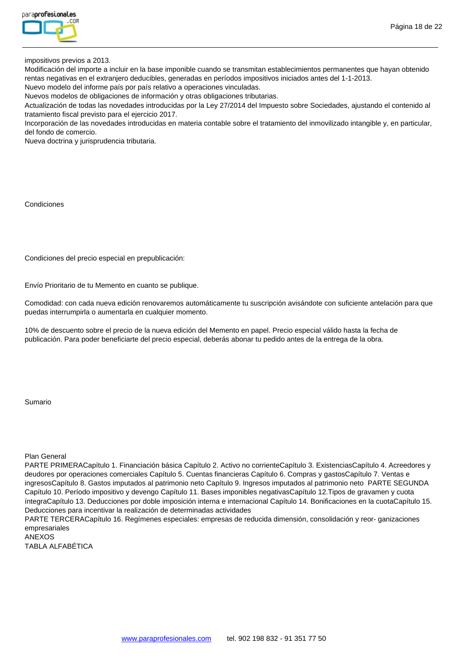

impositivos previos a 2013.

Modificación del importe a incluir en la base imponible cuando se transmitan establecimientos permanentes que hayan obtenido rentas negativas en el extranjero deducibles, generadas en períodos impositivos iniciados antes del 1-1-2013.

Nuevo modelo del informe país por país relativo a operaciones vinculadas.

Nuevos modelos de obligaciones de información y otras obligaciones tributarias.

Actualización de todas las novedades introducidas por la Ley 27/2014 del Impuesto sobre Sociedades, ajustando el contenido al tratamiento fiscal previsto para el ejercicio 2017.

Incorporación de las novedades introducidas en materia contable sobre el tratamiento del inmovilizado intangible y, en particular, del fondo de comercio.

Nueva doctrina y jurisprudencia tributaria.

#### Condiciones

Condiciones del precio especial en prepublicación:

Envío Prioritario de tu Memento en cuanto se publique.

Comodidad: con cada nueva edición renovaremos automáticamente tu suscripción avisándote con suficiente antelación para que puedas interrumpirla o aumentarla en cualquier momento.

10% de descuento sobre el precio de la nueva edición del Memento en papel. Precio especial válido hasta la fecha de publicación. Para poder beneficiarte del precio especial, deberás abonar tu pedido antes de la entrega de la obra.

### Sumario

Plan General

PARTE PRIMERACapítulo 1. Financiación básica Capítulo 2. Activo no corrienteCapítulo 3. ExistenciasCapítulo 4. Acreedores y deudores por operaciones comerciales Capítulo 5. Cuentas financieras Capítulo 6. Compras y gastosCapítulo 7. Ventas e ingresosCapítulo 8. Gastos imputados al patrimonio neto Capítulo 9. Ingresos imputados al patrimonio neto PARTE SEGUNDA Capítulo 10. Período impositivo y devengo Capítulo 11. Bases imponibles negativasCapítulo 12.Tipos de gravamen y cuota íntegraCapítulo 13. Deducciones por doble imposición interna e internacional Capítulo 14. Bonificaciones en la cuotaCapítulo 15. Deducciones para incentivar la realización de determinadas actividades

PARTE TERCERACapítulo 16. Regímenes especiales: empresas de reducida dimensión, consolidación y reor- ganizaciones empresariales

```
ANEXOS
TABLA ALFABÉTICA
```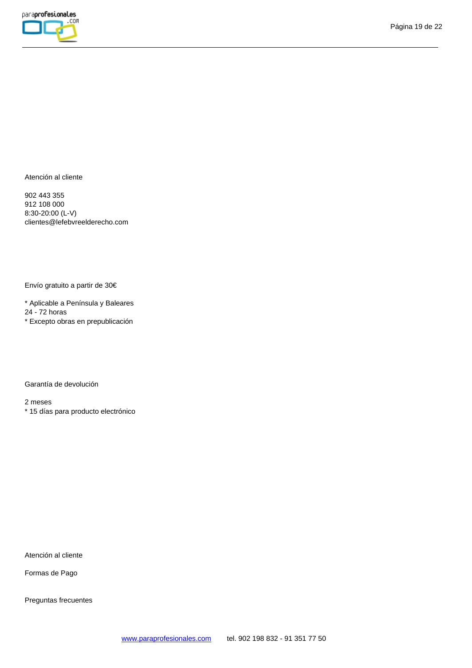

Atención al cliente

902 443 355 912 108 000 8:30-20:00 (L-V) clientes@lefebvreelderecho.com

Envío gratuito a partir de 30€

\* Aplicable a Península y Baleares 24 - 72 horas \* Excepto obras en prepublicación

Garantía de devolución

2 meses

\* 15 días para producto electrónico

Atención al cliente

Formas de Pago

Preguntas frecuentes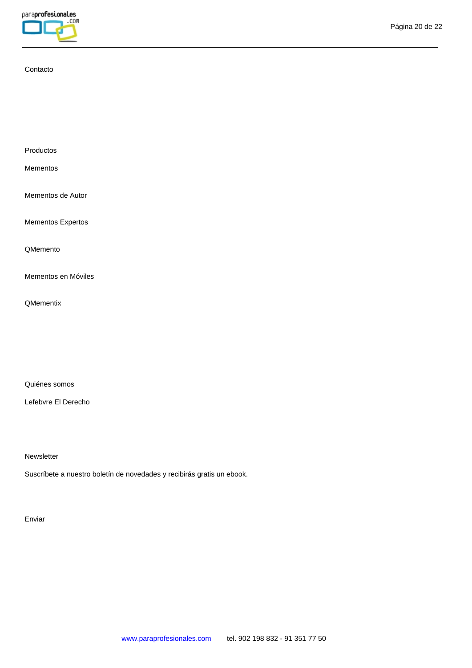

## Contacto

Productos

Mementos

Mementos de Autor

Mementos Expertos

QMemento

Mementos en Móviles

**QMementix** 

Quiénes somos

Lefebvre El Derecho

**Newsletter** 

Suscríbete a nuestro boletín de novedades y recibirás gratis un ebook.

Enviar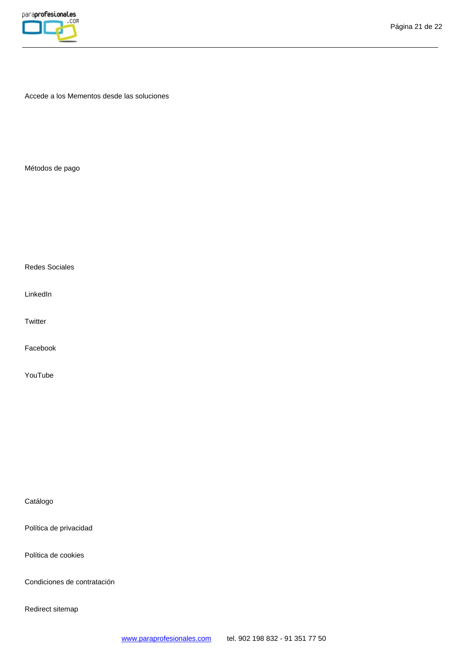

Accede a los Mementos desde las soluciones

Métodos de pago

Redes Sociales

LinkedIn

**Twitter** 

Facebook

YouTube

Catálogo

Política de privacidad

Política de cookies

Condiciones de contratación

Redirect sitemap